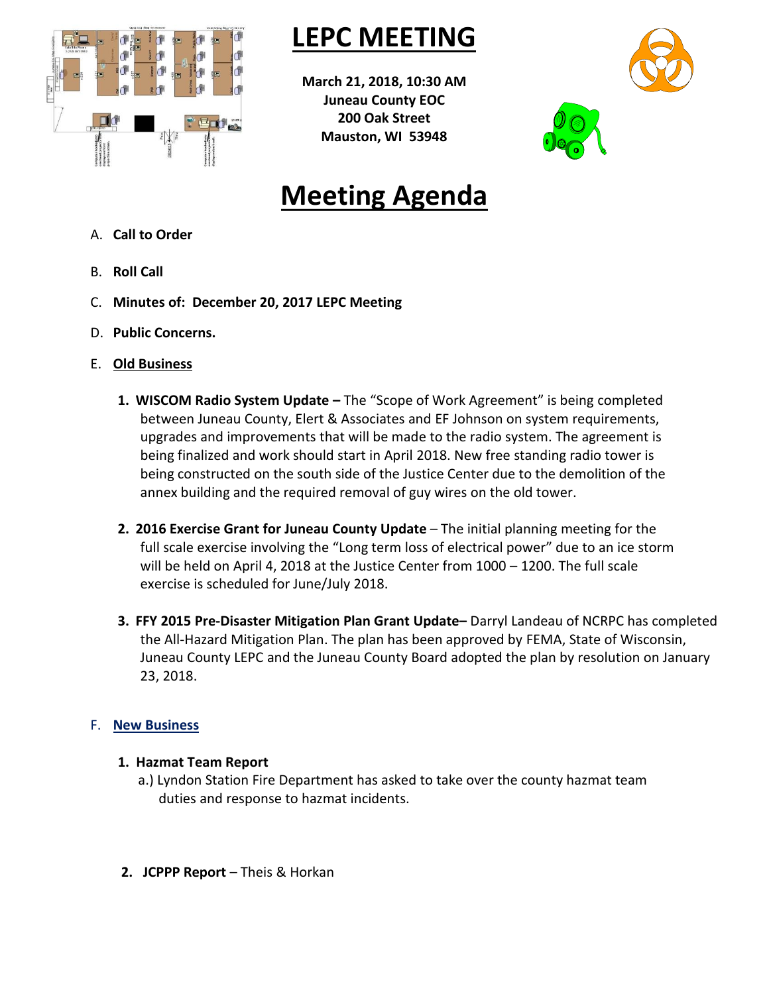

# **LEPC MEETING**

**March 21, 2018, 10:30 AM Juneau County EOC 200 Oak Street Mauston, WI 53948**



# **Meeting Agenda**

- A. **Call to Order**
- B. **Roll Call**
- C. **Minutes of: December 20, 2017 LEPC Meeting**
- D. **Public Concerns.**
- E. **Old Business**
	- **1. WISCOM Radio System Update –** The "Scope of Work Agreement" is being completed between Juneau County, Elert & Associates and EF Johnson on system requirements, upgrades and improvements that will be made to the radio system. The agreement is being finalized and work should start in April 2018. New free standing radio tower is being constructed on the south side of the Justice Center due to the demolition of the annex building and the required removal of guy wires on the old tower.
	- **2. 2016 Exercise Grant for Juneau County Update** The initial planning meeting for the full scale exercise involving the "Long term loss of electrical power" due to an ice storm will be held on April 4, 2018 at the Justice Center from 1000 – 1200. The full scale exercise is scheduled for June/July 2018.
	- **3. FFY 2015 Pre-Disaster Mitigation Plan Grant Update–** Darryl Landeau of NCRPC has completed the All-Hazard Mitigation Plan. The plan has been approved by FEMA, State of Wisconsin, Juneau County LEPC and the Juneau County Board adopted the plan by resolution on January 23, 2018.

## F. **New Business**

### **1. Hazmat Team Report**

- a.) Lyndon Station Fire Department has asked to take over the county hazmat team duties and response to hazmat incidents.
- **2. JCPPP Report** Theis & Horkan